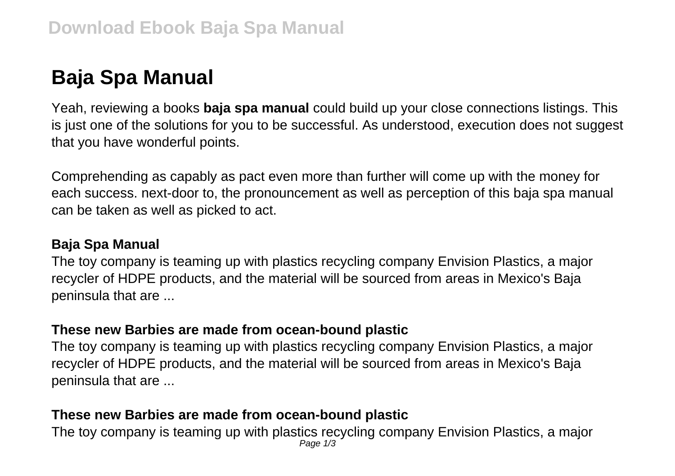# **Baja Spa Manual**

Yeah, reviewing a books **baja spa manual** could build up your close connections listings. This is just one of the solutions for you to be successful. As understood, execution does not suggest that you have wonderful points.

Comprehending as capably as pact even more than further will come up with the money for each success. next-door to, the pronouncement as well as perception of this baja spa manual can be taken as well as picked to act.

#### **Baja Spa Manual**

The toy company is teaming up with plastics recycling company Envision Plastics, a major recycler of HDPE products, and the material will be sourced from areas in Mexico's Baja peninsula that are ...

#### **These new Barbies are made from ocean-bound plastic**

The toy company is teaming up with plastics recycling company Envision Plastics, a major recycler of HDPE products, and the material will be sourced from areas in Mexico's Baja peninsula that are ...

## **These new Barbies are made from ocean-bound plastic**

The toy company is teaming up with plastics recycling company Envision Plastics, a major Page 1/3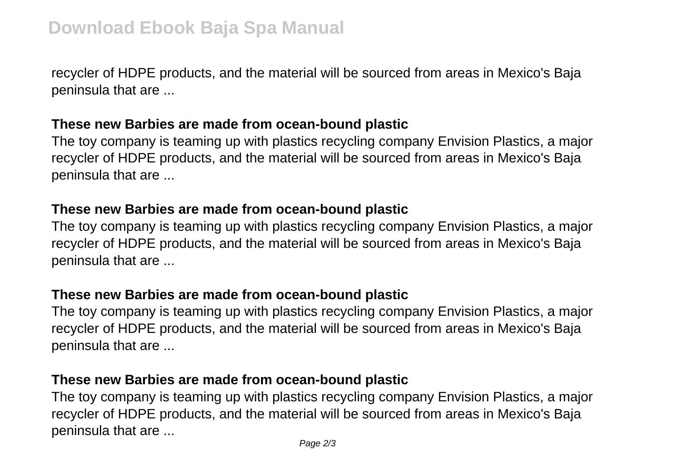recycler of HDPE products, and the material will be sourced from areas in Mexico's Baja peninsula that are ...

### **These new Barbies are made from ocean-bound plastic**

The toy company is teaming up with plastics recycling company Envision Plastics, a major recycler of HDPE products, and the material will be sourced from areas in Mexico's Baja peninsula that are ...

#### **These new Barbies are made from ocean-bound plastic**

The toy company is teaming up with plastics recycling company Envision Plastics, a major recycler of HDPE products, and the material will be sourced from areas in Mexico's Baja peninsula that are ...

#### **These new Barbies are made from ocean-bound plastic**

The toy company is teaming up with plastics recycling company Envision Plastics, a major recycler of HDPE products, and the material will be sourced from areas in Mexico's Baja peninsula that are ...

## **These new Barbies are made from ocean-bound plastic**

The toy company is teaming up with plastics recycling company Envision Plastics, a major recycler of HDPE products, and the material will be sourced from areas in Mexico's Baja peninsula that are ...